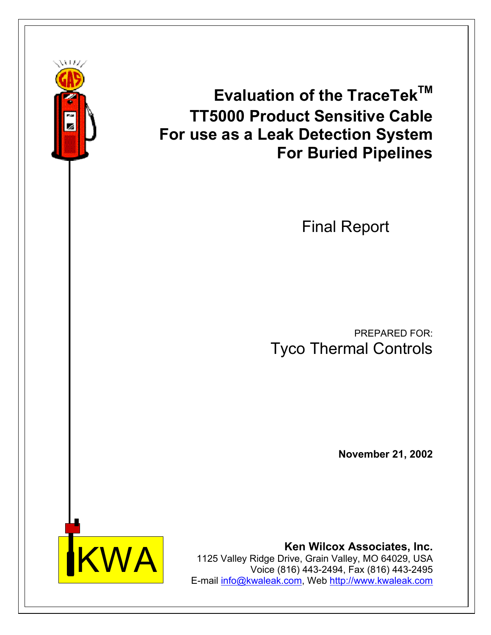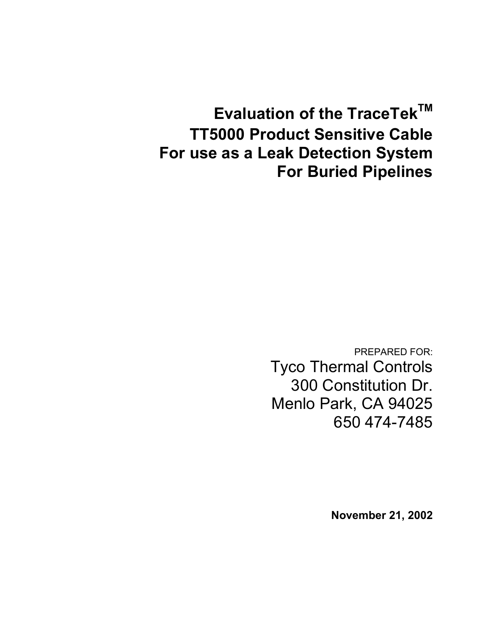**Evaluation of the TraceTek™ TT5000 Product Sensitive Cable For use as a Leak Detection System For Buried Pipelines** 

> PREPARED FOR: Tyco Thermal Controls 300 Constitution Dr. Menlo Park, CA 94025 650 474-7485

> > **November 21, 2002**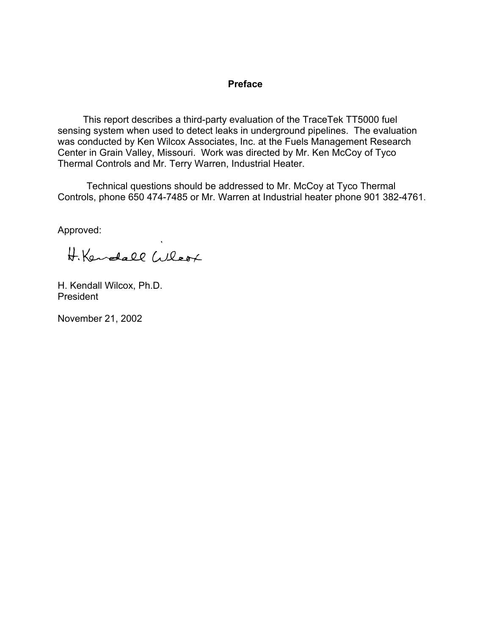#### **Preface**

This report describes a third-party evaluation of the TraceTek TT5000 fuel sensing system when used to detect leaks in underground pipelines. The evaluation was conducted by Ken Wilcox Associates, Inc. at the Fuels Management Research Center in Grain Valley, Missouri. Work was directed by Mr. Ken McCoy of Tyco Thermal Controls and Mr. Terry Warren, Industrial Heater.

 Technical questions should be addressed to Mr. McCoy at Tyco Thermal Controls, phone 650 474-7485 or Mr. Warren at Industrial heater phone 901 382-4761.

Approved:

H. Kendall Wleox

H. Kendall Wilcox, Ph.D. President

November 21, 2002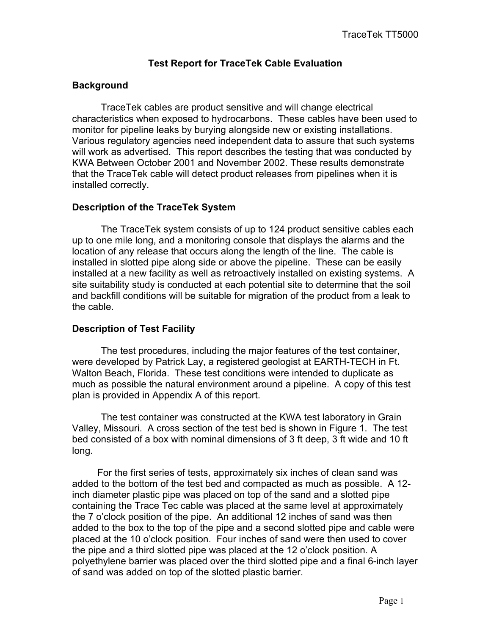## **Test Report for TraceTek Cable Evaluation**

## **Background**

 TraceTek cables are product sensitive and will change electrical characteristics when exposed to hydrocarbons. These cables have been used to monitor for pipeline leaks by burying alongside new or existing installations. Various regulatory agencies need independent data to assure that such systems will work as advertised. This report describes the testing that was conducted by KWA Between October 2001 and November 2002. These results demonstrate that the TraceTek cable will detect product releases from pipelines when it is installed correctly.

### **Description of the TraceTek System**

 The TraceTek system consists of up to 124 product sensitive cables each up to one mile long, and a monitoring console that displays the alarms and the location of any release that occurs along the length of the line. The cable is installed in slotted pipe along side or above the pipeline. These can be easily installed at a new facility as well as retroactively installed on existing systems. A site suitability study is conducted at each potential site to determine that the soil and backfill conditions will be suitable for migration of the product from a leak to the cable.

## **Description of Test Facility**

 The test procedures, including the major features of the test container, were developed by Patrick Lay, a registered geologist at EARTH-TECH in Ft. Walton Beach, Florida. These test conditions were intended to duplicate as much as possible the natural environment around a pipeline. A copy of this test plan is provided in Appendix A of this report.

 The test container was constructed at the KWA test laboratory in Grain Valley, Missouri. A cross section of the test bed is shown in Figure 1. The test bed consisted of a box with nominal dimensions of 3 ft deep, 3 ft wide and 10 ft long.

For the first series of tests, approximately six inches of clean sand was added to the bottom of the test bed and compacted as much as possible. A 12 inch diameter plastic pipe was placed on top of the sand and a slotted pipe containing the Trace Tec cable was placed at the same level at approximately the 7 o'clock position of the pipe. An additional 12 inches of sand was then added to the box to the top of the pipe and a second slotted pipe and cable were placed at the 10 o'clock position. Four inches of sand were then used to cover the pipe and a third slotted pipe was placed at the 12 o'clock position. A polyethylene barrier was placed over the third slotted pipe and a final 6-inch layer of sand was added on top of the slotted plastic barrier.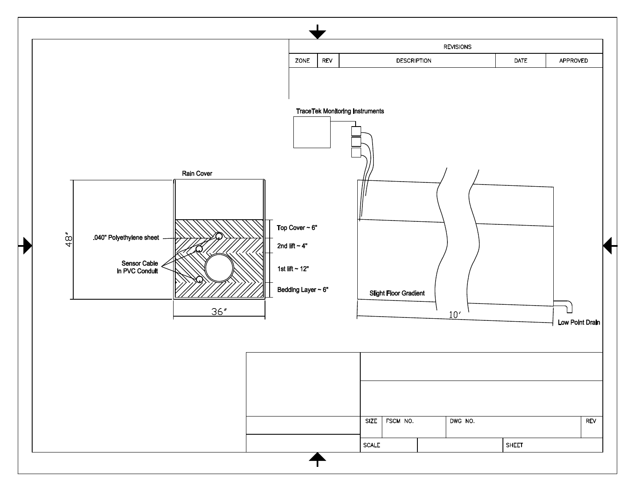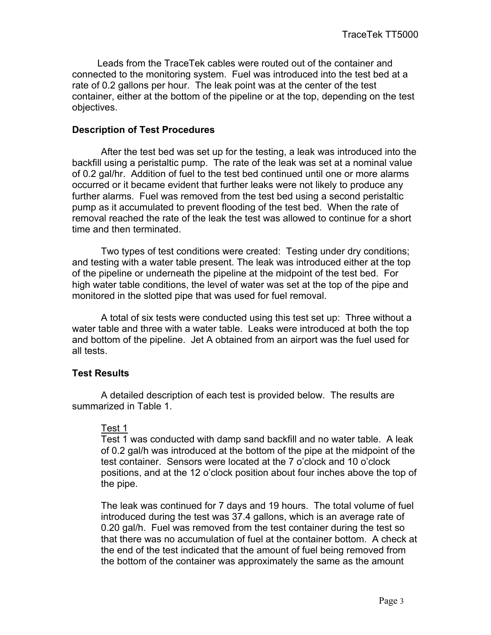Leads from the TraceTek cables were routed out of the container and connected to the monitoring system. Fuel was introduced into the test bed at a rate of 0.2 gallons per hour. The leak point was at the center of the test container, either at the bottom of the pipeline or at the top, depending on the test objectives.

#### **Description of Test Procedures**

 After the test bed was set up for the testing, a leak was introduced into the backfill using a peristaltic pump. The rate of the leak was set at a nominal value of 0.2 gal/hr. Addition of fuel to the test bed continued until one or more alarms occurred or it became evident that further leaks were not likely to produce any further alarms. Fuel was removed from the test bed using a second peristaltic pump as it accumulated to prevent flooding of the test bed. When the rate of removal reached the rate of the leak the test was allowed to continue for a short time and then terminated.

 Two types of test conditions were created: Testing under dry conditions; and testing with a water table present. The leak was introduced either at the top of the pipeline or underneath the pipeline at the midpoint of the test bed. For high water table conditions, the level of water was set at the top of the pipe and monitored in the slotted pipe that was used for fuel removal.

 A total of six tests were conducted using this test set up: Three without a water table and three with a water table. Leaks were introduced at both the top and bottom of the pipeline. Jet A obtained from an airport was the fuel used for all tests.

#### **Test Results**

 A detailed description of each test is provided below. The results are summarized in Table 1.

#### Test 1

Test 1 was conducted with damp sand backfill and no water table. A leak of 0.2 gal/h was introduced at the bottom of the pipe at the midpoint of the test container. Sensors were located at the 7 o'clock and 10 o'clock positions, and at the 12 o'clock position about four inches above the top of the pipe.

The leak was continued for 7 days and 19 hours. The total volume of fuel introduced during the test was 37.4 gallons, which is an average rate of 0.20 gal/h. Fuel was removed from the test container during the test so that there was no accumulation of fuel at the container bottom. A check at the end of the test indicated that the amount of fuel being removed from the bottom of the container was approximately the same as the amount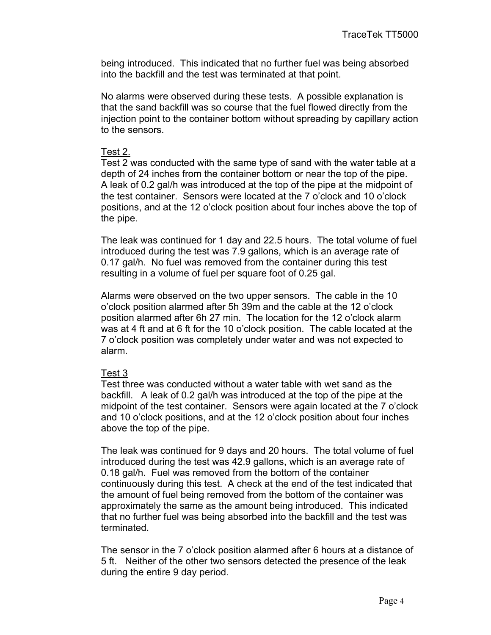being introduced. This indicated that no further fuel was being absorbed into the backfill and the test was terminated at that point.

No alarms were observed during these tests. A possible explanation is that the sand backfill was so course that the fuel flowed directly from the injection point to the container bottom without spreading by capillary action to the sensors.

#### Test 2.

Test 2 was conducted with the same type of sand with the water table at a depth of 24 inches from the container bottom or near the top of the pipe. A leak of 0.2 gal/h was introduced at the top of the pipe at the midpoint of the test container. Sensors were located at the 7 o'clock and 10 o'clock positions, and at the 12 o'clock position about four inches above the top of the pipe.

The leak was continued for 1 day and 22.5 hours. The total volume of fuel introduced during the test was 7.9 gallons, which is an average rate of 0.17 gal/h. No fuel was removed from the container during this test resulting in a volume of fuel per square foot of 0.25 gal.

Alarms were observed on the two upper sensors. The cable in the 10 o'clock position alarmed after 5h 39m and the cable at the 12 o'clock position alarmed after 6h 27 min. The location for the 12 o'clock alarm was at 4 ft and at 6 ft for the 10 o'clock position. The cable located at the 7 o'clock position was completely under water and was not expected to alarm.

#### Test 3

Test three was conducted without a water table with wet sand as the backfill. A leak of 0.2 gal/h was introduced at the top of the pipe at the midpoint of the test container. Sensors were again located at the 7 o'clock and 10 o'clock positions, and at the 12 o'clock position about four inches above the top of the pipe.

The leak was continued for 9 days and 20 hours. The total volume of fuel introduced during the test was 42.9 gallons, which is an average rate of 0.18 gal/h. Fuel was removed from the bottom of the container continuously during this test. A check at the end of the test indicated that the amount of fuel being removed from the bottom of the container was approximately the same as the amount being introduced. This indicated that no further fuel was being absorbed into the backfill and the test was terminated.

The sensor in the 7 o'clock position alarmed after 6 hours at a distance of 5 ft. Neither of the other two sensors detected the presence of the leak during the entire 9 day period.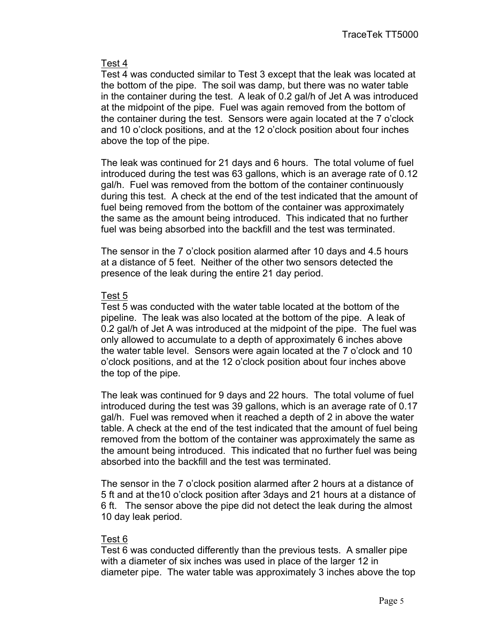### Test 4

Test 4 was conducted similar to Test 3 except that the leak was located at the bottom of the pipe. The soil was damp, but there was no water table in the container during the test. A leak of 0.2 gal/h of Jet A was introduced at the midpoint of the pipe. Fuel was again removed from the bottom of the container during the test. Sensors were again located at the 7 o'clock and 10 o'clock positions, and at the 12 o'clock position about four inches above the top of the pipe.

The leak was continued for 21 days and 6 hours. The total volume of fuel introduced during the test was 63 gallons, which is an average rate of 0.12 gal/h. Fuel was removed from the bottom of the container continuously during this test. A check at the end of the test indicated that the amount of fuel being removed from the bottom of the container was approximately the same as the amount being introduced. This indicated that no further fuel was being absorbed into the backfill and the test was terminated.

The sensor in the 7 o'clock position alarmed after 10 days and 4.5 hours at a distance of 5 feet. Neither of the other two sensors detected the presence of the leak during the entire 21 day period.

### Test 5

Test 5 was conducted with the water table located at the bottom of the pipeline. The leak was also located at the bottom of the pipe. A leak of 0.2 gal/h of Jet A was introduced at the midpoint of the pipe. The fuel was only allowed to accumulate to a depth of approximately 6 inches above the water table level. Sensors were again located at the 7 o'clock and 10 o'clock positions, and at the 12 o'clock position about four inches above the top of the pipe.

The leak was continued for 9 days and 22 hours. The total volume of fuel introduced during the test was 39 gallons, which is an average rate of 0.17 gal/h. Fuel was removed when it reached a depth of 2 in above the water table. A check at the end of the test indicated that the amount of fuel being removed from the bottom of the container was approximately the same as the amount being introduced. This indicated that no further fuel was being absorbed into the backfill and the test was terminated.

The sensor in the 7 o'clock position alarmed after 2 hours at a distance of 5 ft and at the10 o'clock position after 3days and 21 hours at a distance of 6 ft. The sensor above the pipe did not detect the leak during the almost 10 day leak period.

### Test 6

Test 6 was conducted differently than the previous tests. A smaller pipe with a diameter of six inches was used in place of the larger 12 in diameter pipe. The water table was approximately 3 inches above the top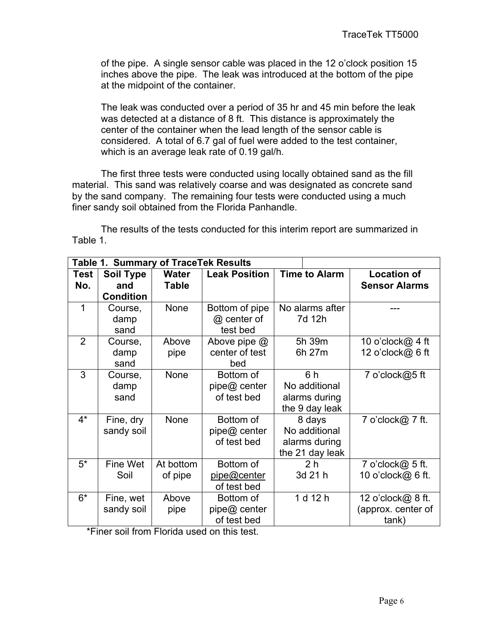of the pipe. A single sensor cable was placed in the 12 o'clock position 15 inches above the pipe. The leak was introduced at the bottom of the pipe at the midpoint of the container.

The leak was conducted over a period of 35 hr and 45 min before the leak was detected at a distance of 8 ft. This distance is approximately the center of the container when the lead length of the sensor cable is considered. A total of 6.7 gal of fuel were added to the test container, which is an average leak rate of 0.19 gal/h.

 The first three tests were conducted using locally obtained sand as the fill material. This sand was relatively coarse and was designated as concrete sand by the sand company. The remaining four tests were conducted using a much finer sandy soil obtained from the Florida Panhandle.

 The results of the tests conducted for this interim report are summarized in Table 1.

| Table 1.       | <b>Summary</b>   | of TraceTek Results |                      |                      |                      |
|----------------|------------------|---------------------|----------------------|----------------------|----------------------|
| <b>Test</b>    | <b>Soil Type</b> | <b>Water</b>        | <b>Leak Position</b> | <b>Time to Alarm</b> | <b>Location of</b>   |
| No.            | and              | <b>Table</b>        |                      |                      | <b>Sensor Alarms</b> |
|                | <b>Condition</b> |                     |                      |                      |                      |
| 1              | Course,          | None                | Bottom of pipe       | No alarms after      |                      |
|                | damp             |                     | @ center of          | 7d 12h               |                      |
|                | sand             |                     | test bed             |                      |                      |
| $\overline{2}$ | Course,          | Above               | Above pipe @         | 5h 39m               | 10 o'clock@ 4 ft     |
|                | damp             | pipe                | center of test       | 6h 27m               | 12 o'clock@ 6 ft     |
|                | sand             |                     | bed                  |                      |                      |
| 3              | Course,          | None                | Bottom of            | 6 h                  | 7 o'clock@5 ft       |
|                | damp             |                     | pipe@ center         | No additional        |                      |
|                | sand             |                     | of test bed          | alarms during        |                      |
|                |                  |                     |                      | the 9 day leak       |                      |
| $4^*$          | Fine, dry        | None                | Bottom of            | 8 days               | 7 o'clock@ 7 ft.     |
|                | sandy soil       |                     | pipe@ center         | No additional        |                      |
|                |                  |                     | of test bed          | alarms during        |                      |
|                |                  |                     |                      | the 21 day leak      |                      |
| $5^*$          | Fine Wet         | At bottom           | Bottom of            | 2 <sub>h</sub>       | 7 o'clock@ 5 ft.     |
|                | Soil             | of pipe             | pipe@center          | 3d 21 h              | 10 o'clock@ 6 ft.    |
|                |                  |                     | of test bed          |                      |                      |
| $6*$           | Fine, wet        | Above               | Bottom of            | 1 d 12 h             | 12 o'clock@ 8 ft.    |
|                | sandy soil       | pipe                | pipe@ center         |                      | (approx. center of   |
|                |                  |                     | of test bed          |                      | tank)                |

\*Finer soil from Florida used on this test.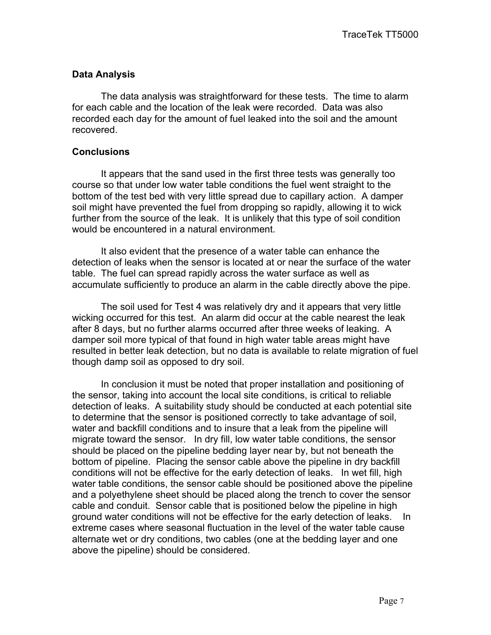### **Data Analysis**

 The data analysis was straightforward for these tests. The time to alarm for each cable and the location of the leak were recorded. Data was also recorded each day for the amount of fuel leaked into the soil and the amount recovered.

#### **Conclusions**

It appears that the sand used in the first three tests was generally too course so that under low water table conditions the fuel went straight to the bottom of the test bed with very little spread due to capillary action. A damper soil might have prevented the fuel from dropping so rapidly, allowing it to wick further from the source of the leak. It is unlikely that this type of soil condition would be encountered in a natural environment.

 It also evident that the presence of a water table can enhance the detection of leaks when the sensor is located at or near the surface of the water table. The fuel can spread rapidly across the water surface as well as accumulate sufficiently to produce an alarm in the cable directly above the pipe.

 The soil used for Test 4 was relatively dry and it appears that very little wicking occurred for this test. An alarm did occur at the cable nearest the leak after 8 days, but no further alarms occurred after three weeks of leaking. A damper soil more typical of that found in high water table areas might have resulted in better leak detection, but no data is available to relate migration of fuel though damp soil as opposed to dry soil.

 In conclusion it must be noted that proper installation and positioning of the sensor, taking into account the local site conditions, is critical to reliable detection of leaks. A suitability study should be conducted at each potential site to determine that the sensor is positioned correctly to take advantage of soil, water and backfill conditions and to insure that a leak from the pipeline will migrate toward the sensor. In dry fill, low water table conditions, the sensor should be placed on the pipeline bedding layer near by, but not beneath the bottom of pipeline. Placing the sensor cable above the pipeline in dry backfill conditions will not be effective for the early detection of leaks. In wet fill, high water table conditions, the sensor cable should be positioned above the pipeline and a polyethylene sheet should be placed along the trench to cover the sensor cable and conduit. Sensor cable that is positioned below the pipeline in high ground water conditions will not be effective for the early detection of leaks. In extreme cases where seasonal fluctuation in the level of the water table cause alternate wet or dry conditions, two cables (one at the bedding layer and one above the pipeline) should be considered.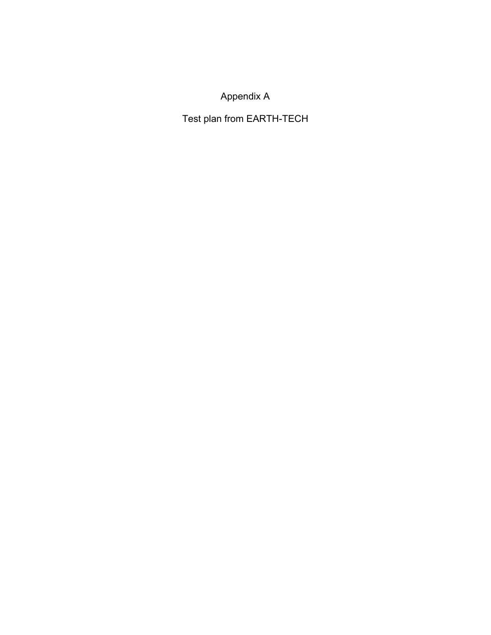# Appendix A

Test plan from EARTH-TECH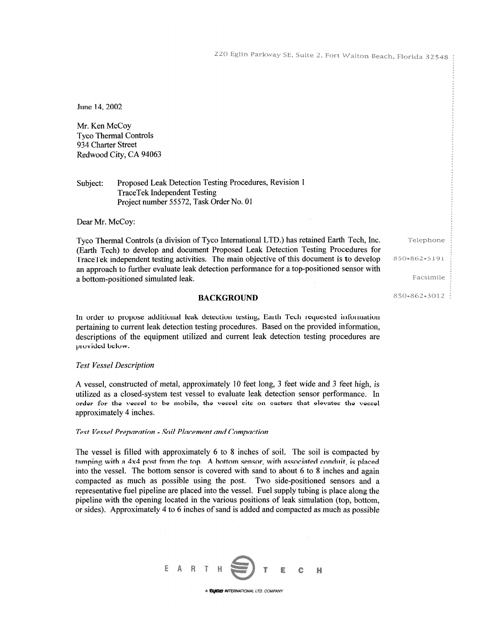220 Eglin Parkway SE, Suite 2, Fort Walton Beach, Florida 32548

June 14, 2002

Mr. Ken McCoy **Tyco Thermal Controls** 934 Charter Street Redwood City, CA 94063

Proposed Leak Detection Testing Procedures, Revision 1 Subject: **TraceTek Independent Testing** Project number 55572, Task Order No. 01

Dear Mr. McCoy:

Tyco Thermal Controls (a division of Tyco International LTD.) has retained Earth Tech, Inc. (Earth Tech) to develop and document Proposed Leak Detection Testing Procedures for TraceTek independent testing activities. The main objective of this document is to develop an approach to further evaluate leak detection performance for a top-positioned sensor with a bottom-positioned simulated leak.

**BACKGROUND** 

In order to propose additional leak detection testing, Earth Tech requested information pertaining to current leak detection testing procedures. Based on the provided information, descriptions of the equipment utilized and current leak detection testing procedures are

#### **Test Vessel Description**

provided below.

A vessel, constructed of metal, approximately 10 feet long, 3 feet wide and 3 feet high, is utilized as a closed-system test vessel to evaluate leak detection sensor performance. In order for the vessel to be mobile, the vessel sits on casters that elevates the vessel approximately 4 inches.

#### Test Vessel Preparation - Soil Placement and Compaction

The vessel is filled with approximately 6 to 8 inches of soil. The soil is compacted by tamping with a 4x4 post from the top. A bottom sensor, with associated conduit, is placed into the vessel. The bottom sensor is covered with sand to about 6 to 8 inches and again compacted as much as possible using the post. Two side-positioned sensors and a representative fuel pipeline are placed into the vessel. Fuel supply tubing is place along the pipeline with the opening located in the various positions of leak simulation (top, bottom, or sides). Approximately 4 to 6 inches of sand is added and compacted as much as possible



Facsimile

850-862-5191

Telephone

850-862-3012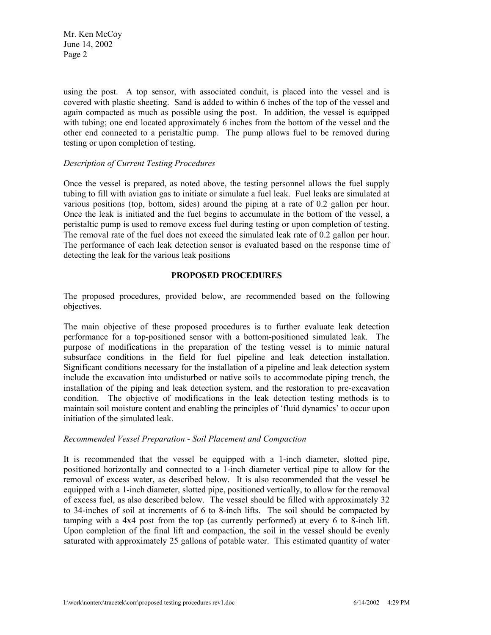Mr. Ken McCoy June 14, 2002 Page 2

using the post. A top sensor, with associated conduit, is placed into the vessel and is covered with plastic sheeting. Sand is added to within 6 inches of the top of the vessel and again compacted as much as possible using the post. In addition, the vessel is equipped with tubing; one end located approximately 6 inches from the bottom of the vessel and the other end connected to a peristaltic pump. The pump allows fuel to be removed during testing or upon completion of testing.

#### *Description of Current Testing Procedures*

Once the vessel is prepared, as noted above, the testing personnel allows the fuel supply tubing to fill with aviation gas to initiate or simulate a fuel leak. Fuel leaks are simulated at various positions (top, bottom, sides) around the piping at a rate of 0.2 gallon per hour. Once the leak is initiated and the fuel begins to accumulate in the bottom of the vessel, a peristaltic pump is used to remove excess fuel during testing or upon completion of testing. The removal rate of the fuel does not exceed the simulated leak rate of 0.2 gallon per hour. The performance of each leak detection sensor is evaluated based on the response time of detecting the leak for the various leak positions

#### **PROPOSED PROCEDURES**

The proposed procedures, provided below, are recommended based on the following objectives.

The main objective of these proposed procedures is to further evaluate leak detection performance for a top-positioned sensor with a bottom-positioned simulated leak. The purpose of modifications in the preparation of the testing vessel is to mimic natural subsurface conditions in the field for fuel pipeline and leak detection installation. Significant conditions necessary for the installation of a pipeline and leak detection system include the excavation into undisturbed or native soils to accommodate piping trench, the installation of the piping and leak detection system, and the restoration to pre-excavation condition. The objective of modifications in the leak detection testing methods is to maintain soil moisture content and enabling the principles of 'fluid dynamics' to occur upon initiation of the simulated leak.

#### *Recommended Vessel Preparation - Soil Placement and Compaction*

It is recommended that the vessel be equipped with a 1-inch diameter, slotted pipe, positioned horizontally and connected to a 1-inch diameter vertical pipe to allow for the removal of excess water, as described below. It is also recommended that the vessel be equipped with a 1-inch diameter, slotted pipe, positioned vertically, to allow for the removal of excess fuel, as also described below. The vessel should be filled with approximately 32 to 34-inches of soil at increments of 6 to 8-inch lifts. The soil should be compacted by tamping with a 4x4 post from the top (as currently performed) at every 6 to 8-inch lift. Upon completion of the final lift and compaction, the soil in the vessel should be evenly saturated with approximately 25 gallons of potable water. This estimated quantity of water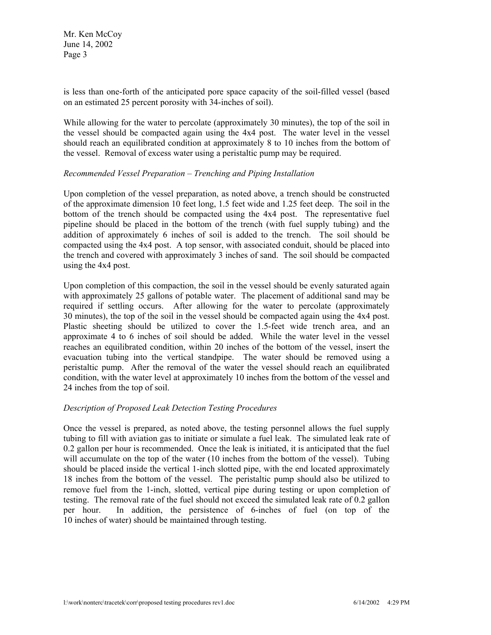Mr. Ken McCoy June 14, 2002 Page 3

is less than one-forth of the anticipated pore space capacity of the soil-filled vessel (based on an estimated 25 percent porosity with 34-inches of soil).

While allowing for the water to percolate (approximately 30 minutes), the top of the soil in the vessel should be compacted again using the 4x4 post. The water level in the vessel should reach an equilibrated condition at approximately 8 to 10 inches from the bottom of the vessel. Removal of excess water using a peristaltic pump may be required.

#### *Recommended Vessel Preparation – Trenching and Piping Installation*

Upon completion of the vessel preparation, as noted above, a trench should be constructed of the approximate dimension 10 feet long, 1.5 feet wide and 1.25 feet deep. The soil in the bottom of the trench should be compacted using the 4x4 post. The representative fuel pipeline should be placed in the bottom of the trench (with fuel supply tubing) and the addition of approximately 6 inches of soil is added to the trench. The soil should be compacted using the 4x4 post. A top sensor, with associated conduit, should be placed into the trench and covered with approximately 3 inches of sand. The soil should be compacted using the 4x4 post.

Upon completion of this compaction, the soil in the vessel should be evenly saturated again with approximately 25 gallons of potable water. The placement of additional sand may be required if settling occurs. After allowing for the water to percolate (approximately 30 minutes), the top of the soil in the vessel should be compacted again using the 4x4 post. Plastic sheeting should be utilized to cover the 1.5-feet wide trench area, and an approximate 4 to 6 inches of soil should be added. While the water level in the vessel reaches an equilibrated condition, within 20 inches of the bottom of the vessel, insert the evacuation tubing into the vertical standpipe. The water should be removed using a peristaltic pump. After the removal of the water the vessel should reach an equilibrated condition, with the water level at approximately 10 inches from the bottom of the vessel and 24 inches from the top of soil.

#### *Description of Proposed Leak Detection Testing Procedures*

Once the vessel is prepared, as noted above, the testing personnel allows the fuel supply tubing to fill with aviation gas to initiate or simulate a fuel leak. The simulated leak rate of 0.2 gallon per hour is recommended. Once the leak is initiated, it is anticipated that the fuel will accumulate on the top of the water (10 inches from the bottom of the vessel). Tubing should be placed inside the vertical 1-inch slotted pipe, with the end located approximately 18 inches from the bottom of the vessel. The peristaltic pump should also be utilized to remove fuel from the 1-inch, slotted, vertical pipe during testing or upon completion of testing. The removal rate of the fuel should not exceed the simulated leak rate of 0.2 gallon per hour. In addition, the persistence of 6-inches of fuel (on top of the 10 inches of water) should be maintained through testing.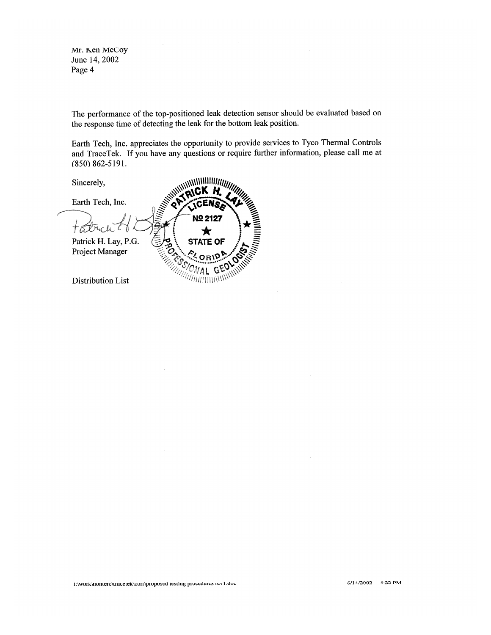Mr. Ken McCoy June 14, 2002 Page 4

The performance of the top-positioned leak detection sensor should be evaluated based on the response time of detecting the leak for the bottom leak position.

Earth Tech, Inc. appreciates the opportunity to provide services to Tyco Thermal Controls and TraceTek. If you have any questions or require further information, please call me at  $(850) 862 - 5191.$ 

Sincerely,

Earth Tech, Inc.

**Nº 2127** Ta t UC li  $\bigstar$ **beco** Patrick H. Lay, P.G. **STATE OF** in Hilly Project Manager **Distribution List** /////////////